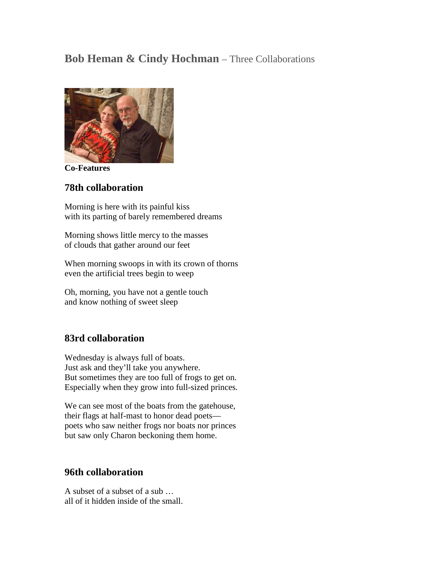## **Bob Heman & Cindy Hochman** – Three Collaborations



**Co-Features**

## **78th collaboration**

Morning is here with its painful kiss with its parting of barely remembered dreams

Morning shows little mercy to the masses of clouds that gather around our feet

When morning swoops in with its crown of thorns even the artificial trees begin to weep

Oh, morning, you have not a gentle touch and know nothing of sweet sleep

## **83rd collaboration**

Wednesday is always full of boats. Just ask and they'll take you anywhere. But sometimes they are too full of frogs to get on. Especially when they grow into full-sized princes.

We can see most of the boats from the gatehouse, their flags at half-mast to honor dead poets poets who saw neither frogs nor boats nor princes but saw only Charon beckoning them home.

## **96th collaboration**

A subset of a subset of a sub … all of it hidden inside of the small.